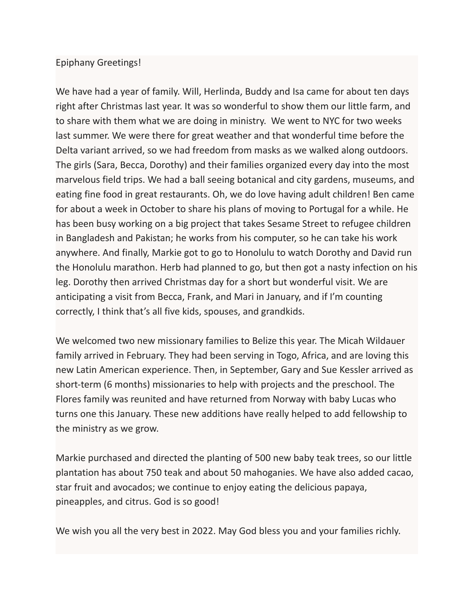## Epiphany Greetings!

We have had a year of family. Will, Herlinda, Buddy and Isa came for about ten days right after Christmas last year. It was so wonderful to show them our little farm, and to share with them what we are doing in ministry. We went to NYC for two weeks last summer. We were there for great weather and that wonderful time before the Delta variant arrived, so we had freedom from masks as we walked along outdoors. The girls (Sara, Becca, Dorothy) and their families organized every day into the most marvelous field trips. We had a ball seeing botanical and city gardens, museums, and eating fine food in great restaurants. Oh, we do love having adult children! Ben came for about a week in October to share his plans of moving to Portugal for a while. He has been busy working on a big project that takes Sesame Street to refugee children in Bangladesh and Pakistan; he works from his computer, so he can take his work anywhere. And finally, Markie got to go to Honolulu to watch Dorothy and David run the Honolulu marathon. Herb had planned to go, but then got a nasty infection on his leg. Dorothy then arrived Christmas day for a short but wonderful visit. We are anticipating a visit from Becca, Frank, and Mari in January, and if I'm counting correctly, I think that's all five kids, spouses, and grandkids.

We welcomed two new missionary families to Belize this year. The Micah Wildauer family arrived in February. They had been serving in Togo, Africa, and are loving this new Latin American experience. Then, in September, Gary and Sue Kessler arrived as short-term (6 months) missionaries to help with projects and the preschool. The Flores family was reunited and have returned from Norway with baby Lucas who turns one this January. These new additions have really helped to add fellowship to the ministry as we grow.

Markie purchased and directed the planting of 500 new baby teak trees, so our little plantation has about 750 teak and about 50 mahoganies. We have also added cacao, star fruit and avocados; we continue to enjoy eating the delicious papaya, pineapples, and citrus. God is so good!

We wish you all the very best in 2022. May God bless you and your families richly.